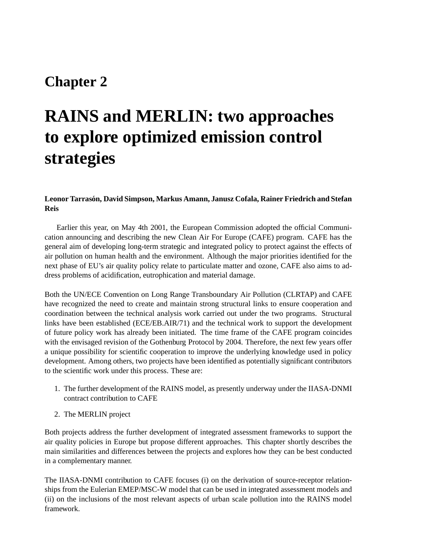# **Chapter 2**

# **RAINS and MERLIN: two approaches to explore optimized emission control strategies**

#### **Leonor Tarrason, ´ David Simpson, Markus Amann, Janusz Cofala, Rainer Friedrich and Stefan Reis**

Earlier this year, on May 4th 2001, the European Commission adopted the official Communication announcing and describing the new Clean Air For Europe (CAFE) program. CAFE has the general aim of developing long-term strategic and integrated policy to protect against the effects of air pollution on human health and the environment. Although the major priorities identified for the next phase of EU's air quality policy relate to particulate matter and ozone, CAFE also aims to address problems of acidification, eutrophication and material damage.

Both the UN/ECE Convention on Long Range Transboundary Air Pollution (CLRTAP) and CAFE have recognized the need to create and maintain strong structural links to ensure cooperation and coordination between the technical analysis work carried out under the two programs. Structural links have been established (ECE/EB.AIR/71) and the technical work to support the development of future policy work has already been initiated. The time frame of the CAFE program coincides with the envisaged revision of the Gothenburg Protocol by 2004. Therefore, the next few years offer a unique possibility for scientific cooperation to improve the underlying knowledge used in policy development. Among others, two projects have been identified as potentially significant contributors to the scientific work under this process. These are:

- 1. The further development of the RAINS model, as presently underway under the IIASA-DNMI contract contribution to CAFE
- 2. The MERLIN project

Both projects address the further development of integrated assessment frameworks to support the air quality policies in Europe but propose different approaches. This chapter shortly describes the main similarities and differences between the projects and explores how they can be best conducted in a complementary manner.

The IIASA-DNMI contribution to CAFE focuses (i) on the derivation of source-receptor relationships from the Eulerian EMEP/MSC-W model that can be used in integrated assessment models and (ii) on the inclusions of the most relevant aspects of urban scale pollution into the RAINS model framework.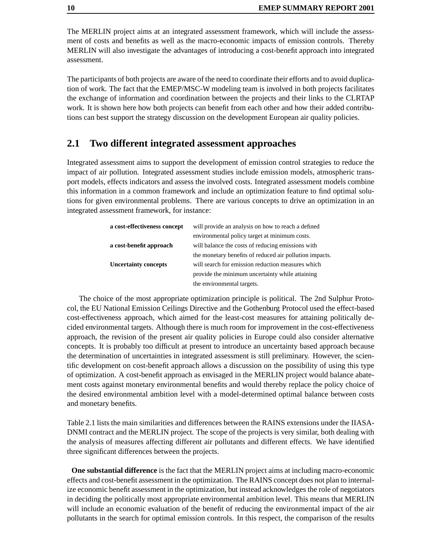The MERLIN project aims at an integrated assessment framework, which will include the assessment of costs and benefits as well as the macro-economic impacts of emission controls. Thereby MERLIN will also investigate the advantages of introducing a cost-benefit approach into integrated assessment.

The participants of both projects are aware of the need to coordinate their efforts and to avoid duplication of work. The fact that the EMEP/MSC-W modeling team is involved in both projects facilitates the exchange of information and coordination between the projects and their links to the CLRTAP work. It is shown here how both projects can benefit from each other and how their added contributions can best support the strategy discussion on the development European air quality policies.

#### **2.1 Two different integrated assessment approaches**

Integrated assessment aims to support the development of emission control strategies to reduce the impact of air pollution. Integrated assessment studies include emission models, atmospheric transport models, effects indicators and assess the involved costs. Integrated assessment models combine this information in a common framework and include an optimization feature to find optimal solutions for given environmental problems. There are various concepts to drive an optimization in an integrated assessment framework, for instance:

| a cost-effectiveness concept | will provide an analysis on how to reach a defined      |  |  |  |  |
|------------------------------|---------------------------------------------------------|--|--|--|--|
|                              | environmental policy target at minimum costs.           |  |  |  |  |
| a cost-benefit approach      | will balance the costs of reducing emissions with       |  |  |  |  |
|                              | the monetary benefits of reduced air pollution impacts. |  |  |  |  |
| <b>Uncertainty concepts</b>  | will search for emission reduction measures which       |  |  |  |  |
|                              | provide the minimum uncertainty while attaining         |  |  |  |  |
|                              | the environmental targets.                              |  |  |  |  |

The choice of the most appropriate optimization principle is political. The 2nd Sulphur Protocol, the EU National Emission Ceilings Directive and the Gothenburg Protocol used the effect-based cost-effectiveness approach, which aimed for the least-cost measures for attaining politically decided environmental targets. Although there is much room for improvement in the cost-effectiveness approach, the revision of the present air quality policies in Europe could also consider alternative concepts. It is probably too difficult at present to introduce an uncertainty based approach because the determination of uncertainties in integrated assessment is still preliminary. However, the scientific development on cost-benefit approach allows a discussion on the possibility of using this type of optimization. A cost-benefit approach as envisaged in the MERLIN project would balance abatement costs against monetary environmental benefits and would thereby replace the policy choice of the desired environmental ambition level with a model-determined optimal balance between costs and monetary benefits.

Table 2.1 lists the main similarities and differences between the RAINS extensions under the IIASA-DNMI contract and the MERLIN project. The scope of the projects is very similar, both dealing with the analysis of measures affecting different air pollutants and different effects. We have identified three significant differences between the projects.

**One substantial difference** is the fact that the MERLIN project aims at including macro-economic effects and cost-benefit assessment in the optimization. The RAINS concept does not plan to internalize economic benefit assessment in the optimization, but instead acknowledges the role of negotiators in deciding the politically most appropriate environmental ambition level. This means that MERLIN will include an economic evaluation of the benefit of reducing the environmental impact of the air pollutants in the search for optimal emission controls. In this respect, the comparison of the results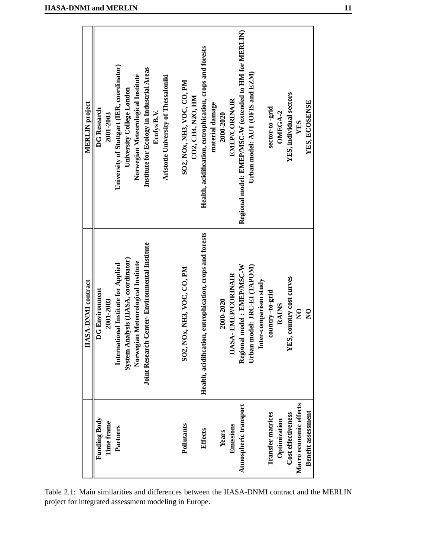| <b>IIASA-DNMI</b> and MERLIN |  |  |  |  |
|------------------------------|--|--|--|--|
|                              |  |  |  |  |
|                              |  |  |  |  |

| <b>MERLIN</b> project      | <b>DG</b> Research<br>2001-2003    | University of Stuttgart (IER, coordinator)<br>Institute for Ecology in Industrial Areas<br>Norwegian Meteorological Institute<br>Aristotle University of Thessaloniki<br>University College London<br>Ecofys B.V. | SO2, NOx, NH3, VOC, CO, PM<br>CO2, CH4, N2O, HM | Health, acidification, eutrophication, crops and forests<br>material damage | <b>EMEP/CORINAIR</b><br>2000-2020       | Regional model: EMEP/MSC-W (extended to HM for MERLIN)<br>Urban model: AUT (OFIS and EZM)           | sector-to-grid<br>OMEGA-2                | YES, individual sectors  | YES, ECOSENSE<br>YES                         |
|----------------------------|------------------------------------|-------------------------------------------------------------------------------------------------------------------------------------------------------------------------------------------------------------------|-------------------------------------------------|-----------------------------------------------------------------------------|-----------------------------------------|-----------------------------------------------------------------------------------------------------|------------------------------------------|--------------------------|----------------------------------------------|
| <b>IIASA-DNMI</b> contract | <b>DG Environment</b><br>2001-2003 | <b>Joint Research Center-Environmental Institute</b><br>nalysis (IIASA, coordinator)<br>Norwegian Meteorological Institute<br>International Institute for Applied<br>System Ar                                    | SO2, NOx, NH3, VOC, CO, PM                      | Health, acidification, eutrophication, crops and forests                    | <b>IIASA-EMEP/CORINAIR</b><br>2000-2020 | Regional model: EMEP/MSC-W<br>model: JRC-EI (TAPOM)<br>Inter-comparison study<br>Urban <sub>1</sub> | country-to-grid<br><b>RAINS</b>          | YES, country cost curves | $\mathsf{S}^{\mathsf{O}}$<br>$\frac{1}{2}$   |
|                            | <b>Funding Body</b><br>Time frame  | Partners                                                                                                                                                                                                          | Pollutants                                      | <b>Effects</b>                                                              | Emissions<br><b>Years</b>               | Atmospheric transport                                                                               | <b>Transfer matrices</b><br>Optimization | Cost effectiveness       | Macro economic effects<br>Benefit assessment |

Table 2.1: Main similarities and differences between the IIASA-DNMI contract and the MERLIN project for integrated assessment modeling in Europe.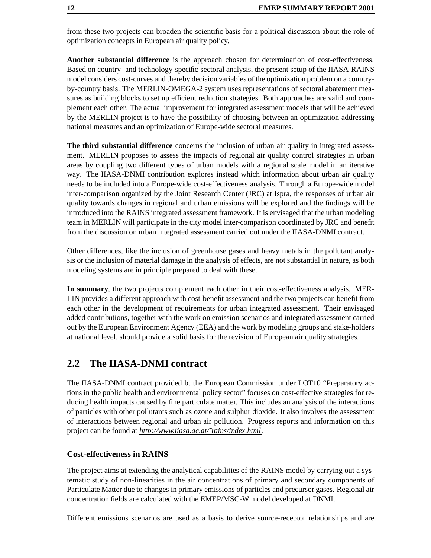from these two projects can broaden the scientific basis for a political discussion about the role of optimization concepts in European air quality policy.

**Another substantial difference** is the approach chosen for determination of cost-effectiveness. Based on country- and technology-specific sectoral analysis, the present setup of the IIASA-RAINS model considers cost-curves and thereby decision variables of the optimization problem on a countryby-country basis. The MERLIN-OMEGA-2 system uses representations of sectoral abatement measures as building blocks to set up efficient reduction strategies. Both approaches are valid and complement each other. The actual improvement for integrated assessment models that will be achieved by the MERLIN project is to have the possibility of choosing between an optimization addressing national measures and an optimization of Europe-wide sectoral measures.

**The third substantial difference** concerns the inclusion of urban air quality in integrated assessment. MERLIN proposes to assess the impacts of regional air quality control strategies in urban areas by coupling two different types of urban models with a regional scale model in an iterative way. The IIASA-DNMI contribution explores instead which information about urban air quality needs to be included into a Europe-wide cost-effectiveness analysis. Through a Europe-wide model inter-comparison organized by the Joint Research Center (JRC) at Ispra, the responses of urban air quality towards changes in regional and urban emissions will be explored and the findings will be introduced into the RAINS integrated assessment framework. It is envisaged that the urban modeling team in MERLIN will participate in the city model inter-comparison coordinated by JRC and benefit from the discussion on urban integrated assessment carried out under the IIASA-DNMI contract.

Other differences, like the inclusion of greenhouse gases and heavy metals in the pollutant analysis or the inclusion of material damage in the analysis of effects, are not substantial in nature, as both modeling systems are in principle prepared to deal with these.

**In summary**, the two projects complement each other in their cost-effectiveness analysis. MER-LIN provides a different approach with cost-benefit assessment and the two projects can benefit from each other in the development of requirements for urban integrated assessment. Their envisaged added contributions, together with the work on emission scenarios and integrated assessment carried out by the European Environment Agency (EEA) and the work by modeling groups and stake-holders at national level, should provide a solid basis for the revision of European air quality strategies.

# **2.2 The IIASA-DNMI contract**

The IIASA-DNMI contract provided bt the European Commission under LOT10 "Preparatory actions in the public health and environmental policy sector" focuses on cost-effective strategies for reducing health impacts caused by fine particulate matter. This includes an analysis of the interactions of particles with other pollutants such as ozone and sulphur dioxide. It also involves the assessment of interactions between regional and urban air pollution. Progress reports and information on this project can be found at *http://www.iiasa.ac.at/˜rains/index.html*.

#### **Cost-effectiveness in RAINS**

The project aims at extending the analytical capabilities of the RAINS model by carrying out a systematic study of non-linearities in the air concentrations of primary and secondary components of Particulate Matter due to changes in primary emissions of particles and precursor gases. Regional air concentration fields are calculated with the EMEP/MSC-W model developed at DNMI.

Different emissions scenarios are used as a basis to derive source-receptor relationships and are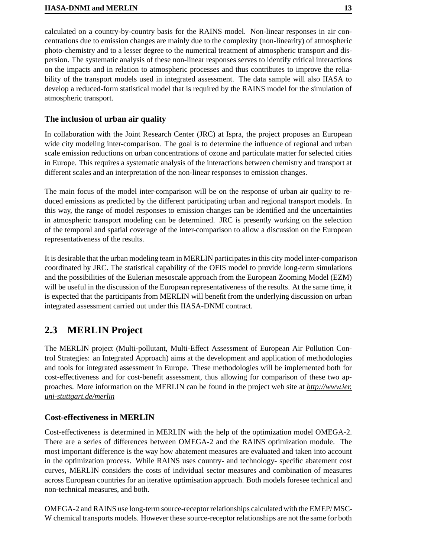calculated on a country-by-country basis for the RAINS model. Non-linear responses in air concentrations due to emission changes are mainly due to the complexity (non-linearity) of atmospheric photo-chemistry and to a lesser degree to the numerical treatment of atmospheric transport and dispersion. The systematic analysis of these non-linear responses serves to identify critical interactions on the impacts and in relation to atmospheric processes and thus contributes to improve the reliability of the transport models used in integrated assessment. The data sample will also IIASA to develop a reduced-form statistical model that is required by the RAINS model for the simulation of atmospheric transport.

### **The inclusion of urban air quality**

In collaboration with the Joint Research Center (JRC) at Ispra, the project proposes an European wide city modeling inter-comparison. The goal is to determine the influence of regional and urban scale emission reductions on urban concentrations of ozone and particulate matter for selected cities in Europe. This requires a systematic analysis of the interactions between chemistry and transport at different scales and an interpretation of the non-linear responses to emission changes.

The main focus of the model inter-comparison will be on the response of urban air quality to reduced emissions as predicted by the different participating urban and regional transport models. In this way, the range of model responses to emission changes can be identified and the uncertainties in atmospheric transport modeling can be determined. JRC is presently working on the selection of the temporal and spatial coverage of the inter-comparison to allow a discussion on the European representativeness of the results.

It is desirable that the urban modeling team in MERLIN participatesin this city model inter-comparison coordinated by JRC. The statistical capability of the OFIS model to provide long-term simulations and the possibilities of the Eulerian mesoscale approach from the European Zooming Model (EZM) will be useful in the discussion of the European representativeness of the results. At the same time, it is expected that the participants from MERLIN will benefit from the underlying discussion on urban integrated assessment carried out under this IIASA-DNMI contract.

# **2.3 MERLIN Project**

The MERLIN project (Multi-pollutant, Multi-Effect Assessment of European Air Pollution Control Strategies: an Integrated Approach) aims at the development and application of methodologies and tools for integrated assessment in Europe. These methodologies will be implemented both for cost-effectiveness and for cost-benefit assessment, thus allowing for comparison of these two approaches. More information on the MERLIN can be found in the project web site at *http://www.ier. uni-stuttgart.de/merlin*

# **Cost-effectiveness in MERLIN**

Cost-effectiveness is determined in MERLIN with the help of the optimization model OMEGA-2. There are a series of differences between OMEGA-2 and the RAINS optimization module. The most important difference is the way how abatement measures are evaluated and taken into account in the optimization process. While RAINS uses country- and technology- specific abatement cost curves, MERLIN considers the costs of individual sector measures and combination of measures across European countries for an iterative optimisation approach. Both models foresee technical and non-technical measures, and both.

OMEGA-2 and RAINS use long-term source-receptor relationships calculated with the EMEP/ MSC-W chemical transports models. However these source-receptor relationships are not the same for both